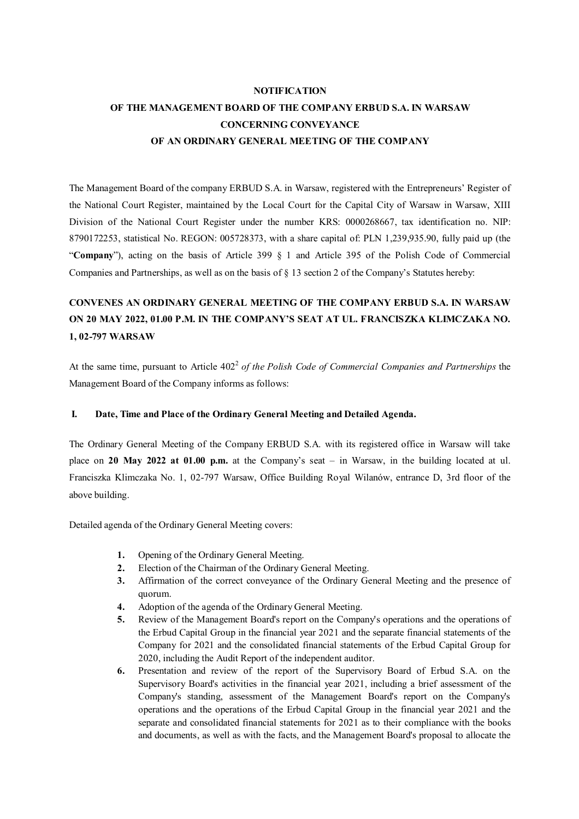# **NOTIFICATION OF THE MANAGEMENT BOARD OF THE COMPANY ERBUD S.A. IN WARSAW CONCERNING CONVEYANCE OF AN ORDINARY GENERAL MEETING OF THE COMPANY**

The Management Board of the company ERBUD S.A. in Warsaw, registered with the Entrepreneurs' Register of the National Court Register, maintained by the Local Court for the Capital City of Warsaw in Warsaw, XIII Division of the National Court Register under the number KRS: 0000268667, tax identification no. NIP: 8790172253, statistical No. REGON: 005728373, with a share capital of: PLN 1,239,935.90, fully paid up (the "**Company**"), acting on the basis of Article 399 § 1 and Article 395 of the Polish Code of Commercial Companies and Partnerships, as well as on the basis of § 13 section 2 of the Company's Statutes hereby:

# **CONVENES AN ORDINARY GENERAL MEETING OF THE COMPANY ERBUD S.A. IN WARSAW ON 20 MAY 2022, 01.00 P.M. IN THE COMPANY'S SEAT AT UL. FRANCISZKA KLIMCZAKA NO. 1, 02-797 WARSAW**

At the same time, pursuant to Article 402<sup>2</sup> of the Polish Code of Commercial Companies and Partnerships the Management Board of the Company informs as follows:

## **I. Date, Time and Place of the Ordinary General Meeting and Detailed Agenda.**

The Ordinary General Meeting of the Company ERBUD S.A. with its registered office in Warsaw will take place on **20 May 2022 at 01.00 p.m.** at the Company's seat – in Warsaw, in the building located at ul. Franciszka Klimczaka No. 1, 02-797 Warsaw, Office Building Royal Wilanów, entrance D, 3rd floor of the above building.

Detailed agenda of the Ordinary General Meeting covers:

- **1.** Opening of the Ordinary General Meeting.
- **2.** Election of the Chairman of the Ordinary General Meeting.
- **3.** Affirmation of the correct conveyance of the Ordinary General Meeting and the presence of quorum.
- **4.** Adoption of the agenda of the Ordinary General Meeting.
- **5.** Review of the Management Board's report on the Company's operations and the operations of the Erbud Capital Group in the financial year 2021 and the separate financial statements of the Company for 2021 and the consolidated financial statements of the Erbud Capital Group for 2020, including the Audit Report of the independent auditor.
- **6.** Presentation and review of the report of the Supervisory Board of Erbud S.A. on the Supervisory Board's activities in the financial year 2021, including a brief assessment of the Company's standing, assessment of the Management Board's report on the Company's operations and the operations of the Erbud Capital Group in the financial year 2021 and the separate and consolidated financial statements for 2021 as to their compliance with the books and documents, as well as with the facts, and the Management Board's proposal to allocate the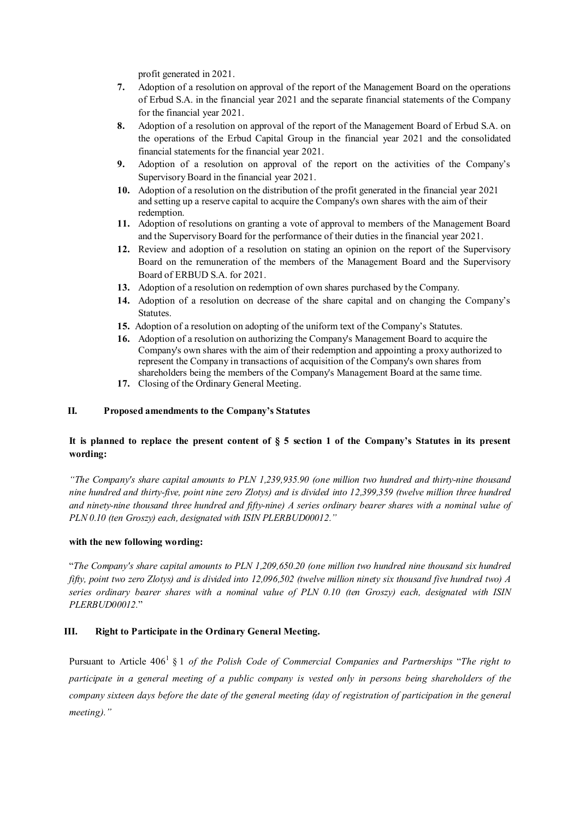profit generated in 2021.

- **7.** Adoption of a resolution on approval of the report of the Management Board on the operations of Erbud S.A. in the financial year 2021 and the separate financial statements of the Company for the financial year 2021.
- **8.** Adoption of a resolution on approval of the report of the Management Board of Erbud S.A. on the operations of the Erbud Capital Group in the financial year 2021 and the consolidated financial statements for the financial year 2021.
- **9.** Adoption of a resolution on approval of the report on the activities of the Company's Supervisory Board in the financial year 2021.
- **10.** Adoption of a resolution on the distribution of the profit generated in the financial year 2021 and setting up a reserve capital to acquire the Company's own shares with the aim of their redemption.
- **11.** Adoption of resolutions on granting a vote of approval to members of the Management Board and the Supervisory Board for the performance of their duties in the financial year 2021.
- **12.** Review and adoption of a resolution on stating an opinion on the report of the Supervisory Board on the remuneration of the members of the Management Board and the Supervisory Board of ERBUD S.A. for 2021.
- **13.** Adoption of a resolution on redemption of own shares purchased by the Company.
- **14.** Adoption of a resolution on decrease of the share capital and on changing the Company's Statutes.
- **15.** Adoption of a resolution on adopting of the uniform text of the Company's Statutes.
- **16.** Adoption of a resolution on authorizing the Company's Management Board to acquire the Company's own shares with the aim of their redemption and appointing a proxy authorized to represent the Company in transactions of acquisition of the Company's own shares from shareholders being the members of the Company's Management Board at the same time.
- **17.** Closing of the Ordinary General Meeting.

## **II. Proposed amendments to the Company's Statutes**

## **It is planned to replace the present content of § 5 section 1 of the Company's Statutes in its present wording:**

*"The Company's share capital amounts to PLN 1,239,935.90 (one million two hundred and thirty-nine thousand nine hundred and thirty-five, point nine zero Zlotys) and is divided into 12,399,359 (twelve million three hundred and ninety-nine thousand three hundred and fifty-nine) A series ordinary bearer shares with a nominal value of PLN 0.10 (ten Groszy) each, designated with ISIN PLERBUD00012."* 

### **with the new following wording:**

"*The Company's share capital amounts to PLN 1,209,650.20 (one million two hundred nine thousand six hundred fifty, point two zero Zlotys) and is divided into 12,096,502 (twelve million ninety six thousand five hundred two) A series ordinary bearer shares with a nominal value of PLN 0.10 (ten Groszy) each, designated with ISIN PLERBUD00012.*"

## **III. Right to Participate in the Ordinary General Meeting.**

Pursuant to Article 406<sup>1</sup>§ 1 *of the Polish Code of Commercial Companies and Partnerships* "*The right to participate in a general meeting of a public company is vested only in persons being shareholders of the company sixteen days before the date of the general meeting (day of registration of participation in the general meeting)."*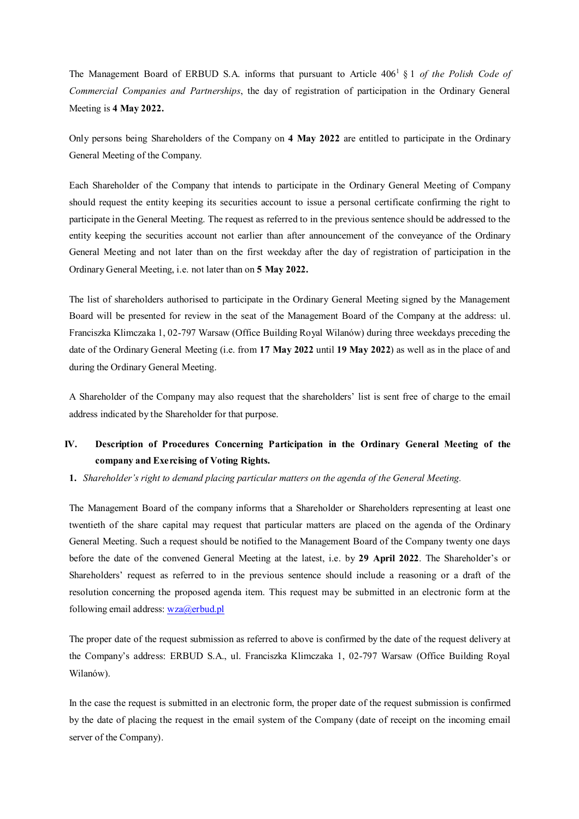The Management Board of ERBUD S.A. informs that pursuant to Article  $406<sup>1</sup>$  & 1 *of the Polish Code of Commercial Companies and Partnerships*, the day of registration of participation in the Ordinary General Meeting is **4 May 2022.**

Only persons being Shareholders of the Company on **4 May 2022** are entitled to participate in the Ordinary General Meeting of the Company.

Each Shareholder of the Company that intends to participate in the Ordinary General Meeting of Company should request the entity keeping its securities account to issue a personal certificate confirming the right to participate in the General Meeting. The request as referred to in the previous sentence should be addressed to the entity keeping the securities account not earlier than after announcement of the conveyance of the Ordinary General Meeting and not later than on the first weekday after the day of registration of participation in the Ordinary General Meeting, i.e. not later than on **5 May 2022.**

The list of shareholders authorised to participate in the Ordinary General Meeting signed by the Management Board will be presented for review in the seat of the Management Board of the Company at the address: ul. Franciszka Klimczaka 1, 02-797 Warsaw (Office Building Royal Wilanów) during three weekdays preceding the date of the Ordinary General Meeting (i.e. from **17 May 2022** until **19 May 2022**) as well as in the place of and during the Ordinary General Meeting.

A Shareholder of the Company may also request that the shareholders' list is sent free of charge to the email address indicated by the Shareholder for that purpose.

# **IV. Description of Procedures Concerning Participation in the Ordinary General Meeting of the company and Exercising of Voting Rights.**

**1.** *Shareholder's right to demand placing particular matters on the agenda of the General Meeting.* 

The Management Board of the company informs that a Shareholder or Shareholders representing at least one twentieth of the share capital may request that particular matters are placed on the agenda of the Ordinary General Meeting. Such a request should be notified to the Management Board of the Company twenty one days before the date of the convened General Meeting at the latest, i.e. by **29 April 2022**. The Shareholder's or Shareholders' request as referred to in the previous sentence should include a reasoning or a draft of the resolution concerning the proposed agenda item. This request may be submitted in an electronic form at the following email address: wza@erbud.pl

The proper date of the request submission as referred to above is confirmed by the date of the request delivery at the Company's address: ERBUD S.A., ul. Franciszka Klimczaka 1, 02-797 Warsaw (Office Building Royal Wilanów).

In the case the request is submitted in an electronic form, the proper date of the request submission is confirmed by the date of placing the request in the email system of the Company (date of receipt on the incoming email server of the Company).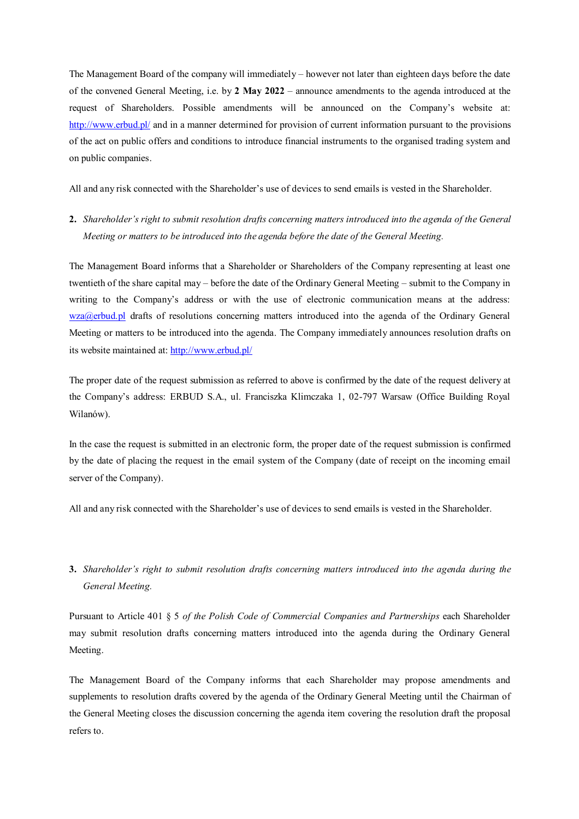The Management Board of the company will immediately – however not later than eighteen days before the date of the convened General Meeting, i.e. by **2 May 2022** – announce amendments to the agenda introduced at the request of Shareholders. Possible amendments will be announced on the Company's website at: http://www.erbud.pl/ and in a manner determined for provision of current information pursuant to the provisions of the act on public offers and conditions to introduce financial instruments to the organised trading system and on public companies.

All and any risk connected with the Shareholder's use of devices to send emails is vested in the Shareholder.

**2.** *Shareholder's right to submit resolution drafts concerning matters introduced into the agenda of the General Meeting or matters to be introduced into the agenda before the date of the General Meeting.* 

The Management Board informs that a Shareholder or Shareholders of the Company representing at least one twentieth of the share capital may – before the date of the Ordinary General Meeting – submit to the Company in writing to the Company's address or with the use of electronic communication means at the address: wza@erbud.pl drafts of resolutions concerning matters introduced into the agenda of the Ordinary General Meeting or matters to be introduced into the agenda. The Company immediately announces resolution drafts on its website maintained at: http://www.erbud.pl/

The proper date of the request submission as referred to above is confirmed by the date of the request delivery at the Company's address: ERBUD S.A., ul. Franciszka Klimczaka 1, 02-797 Warsaw (Office Building Royal Wilanów).

In the case the request is submitted in an electronic form, the proper date of the request submission is confirmed by the date of placing the request in the email system of the Company (date of receipt on the incoming email server of the Company).

All and any risk connected with the Shareholder's use of devices to send emails is vested in the Shareholder.

# **3.** *Shareholder's right to submit resolution drafts concerning matters introduced into the agenda during the General Meeting.*

Pursuant to Article 401 § 5 *of the Polish Code of Commercial Companies and Partnerships* each Shareholder may submit resolution drafts concerning matters introduced into the agenda during the Ordinary General Meeting.

The Management Board of the Company informs that each Shareholder may propose amendments and supplements to resolution drafts covered by the agenda of the Ordinary General Meeting until the Chairman of the General Meeting closes the discussion concerning the agenda item covering the resolution draft the proposal refers to.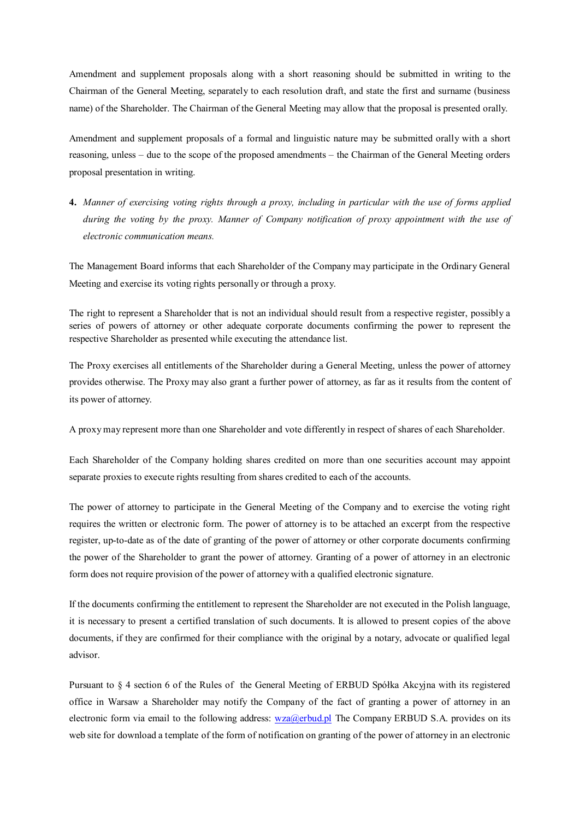Amendment and supplement proposals along with a short reasoning should be submitted in writing to the Chairman of the General Meeting, separately to each resolution draft, and state the first and surname (business name) of the Shareholder. The Chairman of the General Meeting may allow that the proposal is presented orally.

Amendment and supplement proposals of a formal and linguistic nature may be submitted orally with a short reasoning, unless – due to the scope of the proposed amendments – the Chairman of the General Meeting orders proposal presentation in writing.

**4.** *Manner of exercising voting rights through a proxy, including in particular with the use of forms applied during the voting by the proxy. Manner of Company notification of proxy appointment with the use of electronic communication means.* 

The Management Board informs that each Shareholder of the Company may participate in the Ordinary General Meeting and exercise its voting rights personally or through a proxy.

The right to represent a Shareholder that is not an individual should result from a respective register, possibly a series of powers of attorney or other adequate corporate documents confirming the power to represent the respective Shareholder as presented while executing the attendance list.

The Proxy exercises all entitlements of the Shareholder during a General Meeting, unless the power of attorney provides otherwise. The Proxy may also grant a further power of attorney, as far as it results from the content of its power of attorney.

A proxy may represent more than one Shareholder and vote differently in respect of shares of each Shareholder.

Each Shareholder of the Company holding shares credited on more than one securities account may appoint separate proxies to execute rights resulting from shares credited to each of the accounts.

The power of attorney to participate in the General Meeting of the Company and to exercise the voting right requires the written or electronic form. The power of attorney is to be attached an excerpt from the respective register, up-to-date as of the date of granting of the power of attorney or other corporate documents confirming the power of the Shareholder to grant the power of attorney. Granting of a power of attorney in an electronic form does not require provision of the power of attorney with a qualified electronic signature.

If the documents confirming the entitlement to represent the Shareholder are not executed in the Polish language, it is necessary to present a certified translation of such documents. It is allowed to present copies of the above documents, if they are confirmed for their compliance with the original by a notary, advocate or qualified legal advisor.

Pursuant to § 4 section 6 of the Rules of the General Meeting of ERBUD Spółka Akcyjna with its registered office in Warsaw a Shareholder may notify the Company of the fact of granting a power of attorney in an electronic form via email to the following address: wza@erbud.pl The Company ERBUD S.A. provides on its web site for download a template of the form of notification on granting of the power of attorney in an electronic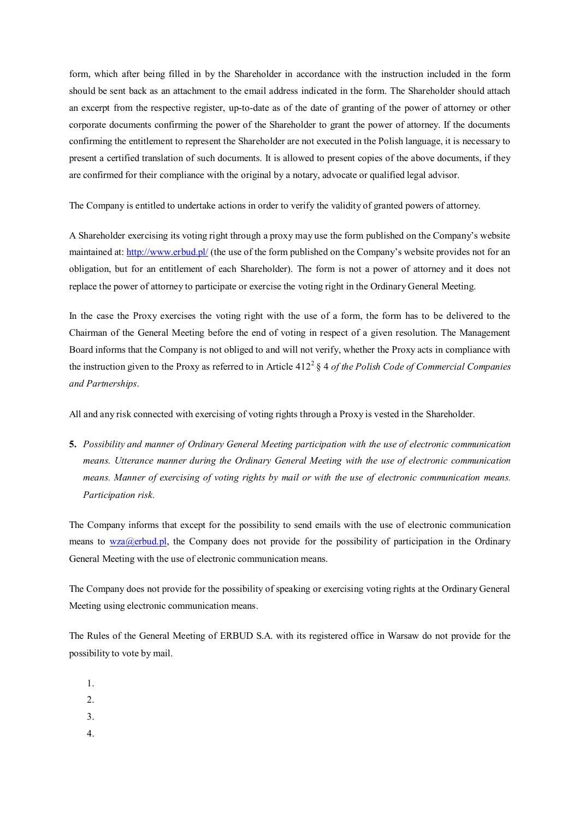form, which after being filled in by the Shareholder in accordance with the instruction included in the form should be sent back as an attachment to the email address indicated in the form. The Shareholder should attach an excerpt from the respective register, up-to-date as of the date of granting of the power of attorney or other corporate documents confirming the power of the Shareholder to grant the power of attorney. If the documents confirming the entitlement to represent the Shareholder are not executed in the Polish language, it is necessary to present a certified translation of such documents. It is allowed to present copies of the above documents, if they are confirmed for their compliance with the original by a notary, advocate or qualified legal advisor.

The Company is entitled to undertake actions in order to verify the validity of granted powers of attorney.

A Shareholder exercising its voting right through a proxy may use the form published on the Company's website maintained at: http://www.erbud.pl/ (the use of the form published on the Company's website provides not for an obligation, but for an entitlement of each Shareholder). The form is not a power of attorney and it does not replace the power of attorney to participate or exercise the voting right in the Ordinary General Meeting.

In the case the Proxy exercises the voting right with the use of a form, the form has to be delivered to the Chairman of the General Meeting before the end of voting in respect of a given resolution. The Management Board informs that the Company is not obliged to and will not verify, whether the Proxy acts in compliance with the instruction given to the Proxy as referred to in Article 412<sup>2</sup> § 4 *of the Polish Code of Commercial Companies and Partnerships*.

All and any risk connected with exercising of voting rights through a Proxy is vested in the Shareholder.

**5.** *Possibility and manner of Ordinary General Meeting participation with the use of electronic communication means. Utterance manner during the Ordinary General Meeting with the use of electronic communication means. Manner of exercising of voting rights by mail or with the use of electronic communication means. Participation risk.* 

The Company informs that except for the possibility to send emails with the use of electronic communication means to  $wz a @erbud.pl$ , the Company does not provide for the possibility of participation in the Ordinary General Meeting with the use of electronic communication means.

The Company does not provide for the possibility of speaking or exercising voting rights at the Ordinary General Meeting using electronic communication means.

The Rules of the General Meeting of ERBUD S.A. with its registered office in Warsaw do not provide for the possibility to vote by mail.

- 1.
- $2<sup>1</sup>$
- 3.
- 4.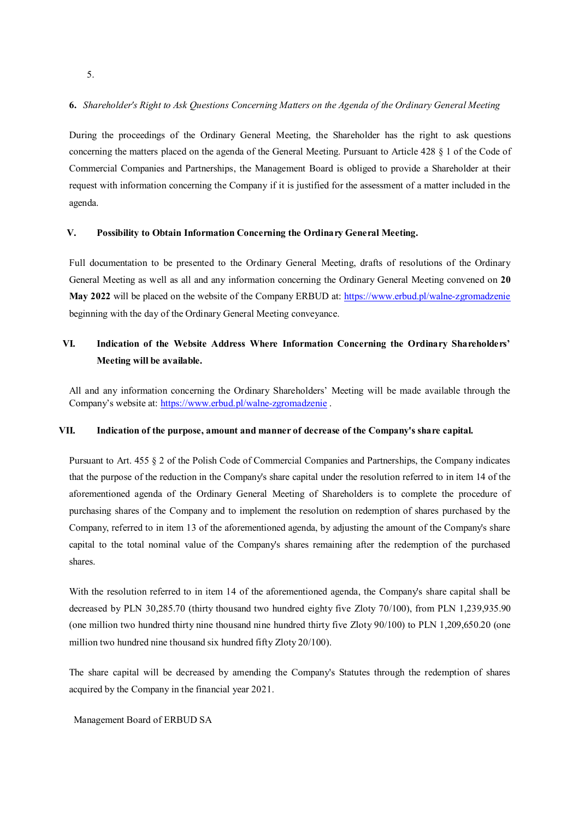**6.** *Shareholder's Right to Ask Questions Concerning Matters on the Agenda of the Ordinary General Meeting*

During the proceedings of the Ordinary General Meeting, the Shareholder has the right to ask questions concerning the matters placed on the agenda of the General Meeting. Pursuant to Article 428 § 1 of the Code of Commercial Companies and Partnerships, the Management Board is obliged to provide a Shareholder at their request with information concerning the Company if it is justified for the assessment of a matter included in the agenda.

### **V. Possibility to Obtain Information Concerning the Ordinary General Meeting.**

Full documentation to be presented to the Ordinary General Meeting, drafts of resolutions of the Ordinary General Meeting as well as all and any information concerning the Ordinary General Meeting convened on **20**  May 2022 will be placed on the website of the Company ERBUD at: https://www.erbud.pl/walne-zgromadzenie beginning with the day of the Ordinary General Meeting conveyance.

## **VI. Indication of the Website Address Where Information Concerning the Ordinary Shareholders' Meeting will be available.**

All and any information concerning the Ordinary Shareholders' Meeting will be made available through the Company's website at: https://www.erbud.pl/walne-zgromadzenie .

### **VII. Indication of the purpose, amount and manner of decrease of the Company's share capital.**

Pursuant to Art. 455 § 2 of the Polish Code of Commercial Companies and Partnerships, the Company indicates that the purpose of the reduction in the Company's share capital under the resolution referred to in item 14 of the aforementioned agenda of the Ordinary General Meeting of Shareholders is to complete the procedure of purchasing shares of the Company and to implement the resolution on redemption of shares purchased by the Company, referred to in item 13 of the aforementioned agenda, by adjusting the amount of the Company's share capital to the total nominal value of the Company's shares remaining after the redemption of the purchased shares.

With the resolution referred to in item 14 of the aforementioned agenda, the Company's share capital shall be decreased by PLN 30,285.70 (thirty thousand two hundred eighty five Zloty 70/100), from PLN 1,239,935.90 (one million two hundred thirty nine thousand nine hundred thirty five Zloty 90/100) to PLN 1,209,650.20 (one million two hundred nine thousand six hundred fifty Zloty 20/100).

The share capital will be decreased by amending the Company's Statutes through the redemption of shares acquired by the Company in the financial year 2021.

Management Board of ERBUD SA